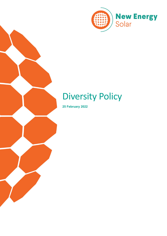

# Diversity Policy

**25 February 2022**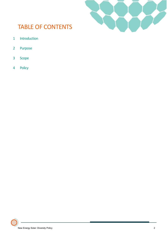

## TABLE OF CONTENTS

- Introduction
- Purpose
- Scope
- Policy

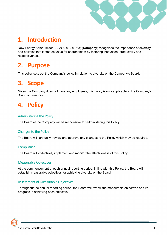

# **1. Introduction**

New Energy Solar Limited (ACN 609 396 983) (**Company**) recognises the importance of diversity and believes that it creates value for shareholders by fostering innovation, productivity and responsiveness.

### **2. Purpose**

This policy sets out the Company's policy in relation to diversity on the Company's Board.

### **3. Scope**

Given the Company does not have any employees, this policy is only applicable to the Company's Board of Directors.

### **4. Policy**

#### Administering the Policy

The Board of the Company will be responsible for administering this Policy.

#### Changes to the Policy

The Board will, annually, review and approve any changes to the Policy which may be required.

#### **Compliance**

The Board will collectively implement and monitor the effectiveness of this Policy.

#### Measurable Objectives

At the commencement of each annual reporting period, in line with this Policy, the Board will establish measurable objectives for achieving diversity on the Board.

#### Assessment of Measurable Objectives

Throughout the annual reporting period, the Board will review the measurable objectives and its progress in achieving each objective.